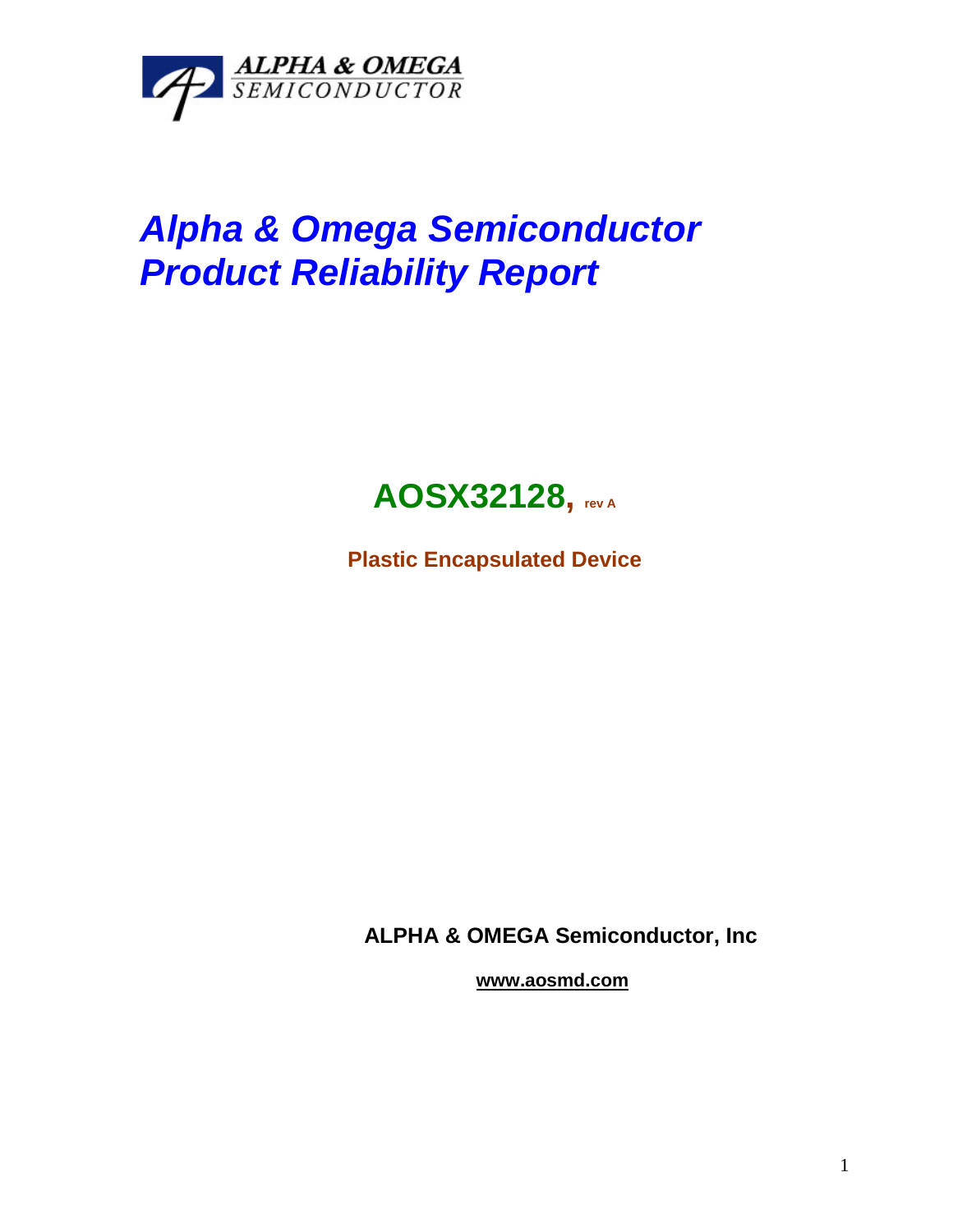

## *Alpha & Omega Semiconductor Product Reliability Report*



**Plastic Encapsulated Device**

**ALPHA & OMEGA Semiconductor, Inc**

**www.aosmd.com**